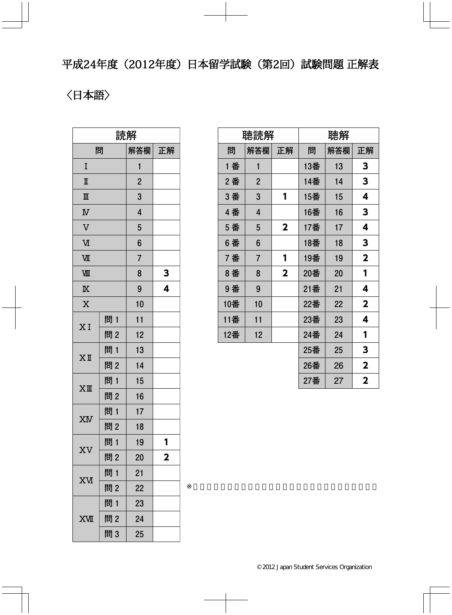平成24年度(2012年度)日本留学試験(第2回)試験問題 正解表

〈日本語〉

| 読解                      |     |                |                         |  |  |
|-------------------------|-----|----------------|-------------------------|--|--|
|                         | 問   | 解答欄            | 正解                      |  |  |
| I                       |     | 1              |                         |  |  |
| $\mathbb I$             |     | $\overline{2}$ |                         |  |  |
| $\mathbb{I}$            |     | 3              |                         |  |  |
| $\overline{\mathbf{N}}$ |     | 4              |                         |  |  |
| $\overline{\mathsf{V}}$ |     | 5              |                         |  |  |
| M                       |     | 6              |                         |  |  |
| VШ                      |     | $\overline{7}$ |                         |  |  |
| VШ                      |     | 8              | 3                       |  |  |
| $\overline{\mathbb{X}}$ |     | 9              | 4                       |  |  |
| $\overline{X}$          |     | 10             |                         |  |  |
| X I                     | 問1  | 11             |                         |  |  |
|                         | 問2  | 12             |                         |  |  |
| $X$ II                  | 問1  | 13             |                         |  |  |
|                         | 問2  | 14             |                         |  |  |
| $X$ III                 | 問1  | 15             |                         |  |  |
|                         | 問2  | 16             |                         |  |  |
| XM                      | 問1  | 17             |                         |  |  |
|                         | 問2  | 18             |                         |  |  |
|                         | 問1  | 19             | 1                       |  |  |
| XV                      | 問2  | 20             | $\overline{\mathbf{2}}$ |  |  |
|                         | 問 1 | 21             |                         |  |  |
| <b>XV</b>               | 問2  | 22             |                         |  |  |
| <b>XVII</b>             | 問1  | 23             |                         |  |  |
|                         | 問2  | 24             |                         |  |  |
|                         | 問3  | 25             |                         |  |  |

| 聴読解 |                |                         | 聴解  |     |             |  |
|-----|----------------|-------------------------|-----|-----|-------------|--|
| 問   | 解答欄            | 正解                      | 問   | 解答欄 | 正解          |  |
| 1 番 | $\mathbf{1}$   |                         | 13番 | 13  | 3           |  |
| 2番  | $\overline{2}$ |                         | 14番 | 14  | 3           |  |
| 3番  | 3              | 1                       | 15番 | 15  | 4           |  |
| 4番  | 4              |                         | 16番 | 16  | 3           |  |
| 5 番 | 5              | $\mathbf 2$             | 17番 | 17  | 4           |  |
| 6番  | 6              |                         | 18番 | 18  | 3           |  |
| 7番  | $\overline{7}$ | 1                       | 19番 | 19  | $\mathbf 2$ |  |
| 8番  | 8              | $\overline{\mathbf{2}}$ | 20番 | 20  | 1           |  |
| 9番  | 9              |                         | 21番 | 21  | 4           |  |
| 10番 | 10             |                         | 22番 | 22  | $\mathbf 2$ |  |
| 11番 | 11             |                         | 23番 | 23  | 4           |  |
| 12番 | 12             |                         | 24番 | 24  | 1           |  |
|     |                |                         | 25番 | 25  | 3           |  |
|     |                |                         | 26番 | 26  | $\mathbf 2$ |  |
|     |                |                         | 27番 | 27  | $\mathbf 2$ |  |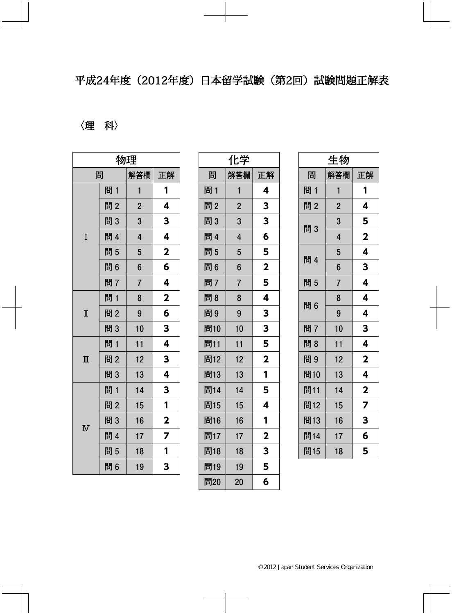## 平成24年度 (2012年度) 日本留学試験 (第2回) 試験問題正解表

## 〈理科〉

| 物理                      |     |                         |                         |  |
|-------------------------|-----|-------------------------|-------------------------|--|
|                         | 問   | 解答欄                     | 正解                      |  |
|                         | 問 1 | $\mathbf{1}$            | 1                       |  |
|                         | 問2  | $\overline{2}$          | 4                       |  |
|                         | 問3  | 3                       | 3                       |  |
| I                       | 問 4 | $\overline{\mathbf{4}}$ | 4                       |  |
|                         | 問5  | 5                       | $\overline{\mathbf{2}}$ |  |
|                         | 問6  | 6                       | 6                       |  |
|                         | 問7  | $\overline{7}$          | 4                       |  |
| $\mathbb I$             | 問1  | 8                       | $\overline{\mathbf{2}}$ |  |
|                         | 問2  | 9                       | 6                       |  |
|                         | 問3  | 10                      | 3                       |  |
|                         | 問 1 | 11                      | 4                       |  |
| $\mathbb{I}$            | 問2  | 12                      | 3                       |  |
|                         | 問3  | 13                      | 4                       |  |
|                         | 問1  | 14                      | 3                       |  |
| $\overline{\mathbf{N}}$ | 問2  | 15                      | 1                       |  |
|                         | 問3  | 16                      | $\mathbf 2$             |  |
|                         | 問 4 | 17                      | 7                       |  |
|                         | 問5  | 18                      | 1                       |  |
|                         | 問6  | 19                      | 3                       |  |

| 化学  |                |                         |  |  |
|-----|----------------|-------------------------|--|--|
| 問   | 解答欄            | 正解                      |  |  |
| 問1  | 1              | 4                       |  |  |
| 問2  | $\overline{2}$ | 3                       |  |  |
| 問3  | 3              | 3                       |  |  |
| 問 4 | $\overline{4}$ | 6                       |  |  |
| 問5  | 5              | 5                       |  |  |
| 問6  | 6              | $\overline{\mathbf{2}}$ |  |  |
| 問7  | $\overline{7}$ | 5                       |  |  |
| 問8  | 8              | 4                       |  |  |
| 問9  | 9              | 3                       |  |  |
| 問10 | 10             | 3                       |  |  |
| 問11 | 11             | 5                       |  |  |
| 問12 | 12             | $\overline{\mathbf{2}}$ |  |  |
| 問13 | 13             | 1                       |  |  |
| 問14 | 14             | 5                       |  |  |
| 問15 | 15             | 4                       |  |  |
| 問16 | 16             | 1                       |  |  |
| 問17 | 17             | $\overline{\mathbf{2}}$ |  |  |
| 問18 | 18             | 3                       |  |  |
| 問19 | 19             | 5                       |  |  |
| 問20 | 20             | 6                       |  |  |

| 生物  |                |                         |  |  |
|-----|----------------|-------------------------|--|--|
| 問   | 解答欄            | 正解                      |  |  |
| 問 1 | 1              | 1                       |  |  |
| 問2  | $\overline{c}$ | 4                       |  |  |
| 問3  | $\mathbf 3$    | 5                       |  |  |
|     | $\overline{4}$ | $\overline{\mathbf{2}}$ |  |  |
| 問 4 | 5              | 4                       |  |  |
|     | 6              | 3                       |  |  |
| 問5  | $\overline{7}$ | 4                       |  |  |
| 問6  | 8              | 4                       |  |  |
|     | 9              | 4                       |  |  |
| 問7  | 10             | 3                       |  |  |
| 問 8 | 11             | 4                       |  |  |
| 問9  | 12             | $\overline{\mathbf{2}}$ |  |  |
| 問10 | 13             | 4                       |  |  |
| 問11 | 14             | $\overline{\mathbf{2}}$ |  |  |
| 問12 | 15             | $\overline{\mathbf{z}}$ |  |  |
| 問13 | 16             | 3                       |  |  |
| 問14 | 17             | 6                       |  |  |
| 問15 | 18             | 5                       |  |  |
|     |                |                         |  |  |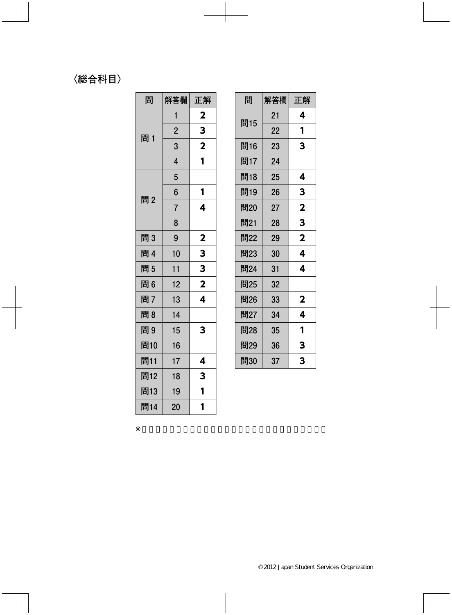## 〈総合科目〉

| 問   | 解答欄            | 正解                      |
|-----|----------------|-------------------------|
|     | 1              | $\overline{\mathbf{2}}$ |
| 問 1 | $\overline{2}$ | 3                       |
|     | 3              | $\overline{\mathbf{2}}$ |
|     | $\overline{4}$ | 1                       |
|     | 5              |                         |
| 問2  | 6              | 1                       |
|     | $\overline{7}$ | 4                       |
|     | 8              |                         |
| 問3  | 9              | $\mathbf{2}$            |
| 問 4 | 10             | 3                       |
| 問5  | 11             | 3                       |
| 問6  | 12             | $\overline{\mathbf{2}}$ |
| 問7  | 13             | 4                       |
| 問8  | 14             |                         |
| 問9  | 15             | 3                       |
| 問10 | 16             |                         |
| 問11 | 17             | 4                       |
| 問12 | 18             | 3                       |
| 問13 | 19             | 1                       |
| 問14 | 20             | 1                       |

| 問   | 解答欄 | 正解                      |
|-----|-----|-------------------------|
|     | 21  | 4                       |
| 問15 | 22  | 1                       |
| 問16 | 23  | 3                       |
| 問17 | 24  |                         |
| 問18 | 25  | 4                       |
| 問19 | 26  | 3                       |
| 問20 | 27  | $\overline{\mathbf{2}}$ |
| 問21 | 28  | 3                       |
| 問22 | 29  | $\overline{\mathbf{2}}$ |
| 問23 | 30  | 4                       |
| 問24 | 31  | 4                       |
| 問25 | 32  |                         |
| 問26 | 33  | $\mathbf 2$             |
| 問27 | 34  | 4                       |
| 問28 | 35  | 1                       |
| 問29 | 36  | 3                       |
| 問30 | 37  | 3                       |